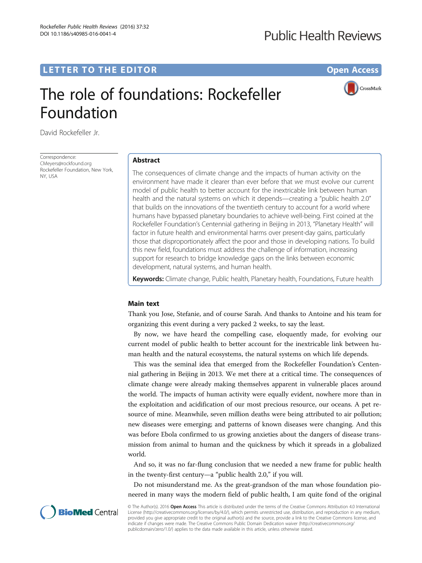# **LETTER TO THE EDITOR CONSIDERING ACCESS**

CrossMark

# The role of foundations: Rockefeller Foundation

David Rockefeller Jr.

Correspondence: [CMeyers@rockfound.org](mailto:CMeyers@rockfound.org) Rockefeller Foundation, New York, NY, USA

## Abstract

The consequences of climate change and the impacts of human activity on the environment have made it clearer than ever before that we must evolve our current model of public health to better account for the inextricable link between human health and the natural systems on which it depends—creating a "public health 2.0" that builds on the innovations of the twentieth century to account for a world where humans have bypassed planetary boundaries to achieve well-being. First coined at the Rockefeller Foundation's Centennial gathering in Beijing in 2013, "Planetary Health" will factor in future health and environmental harms over present-day gains, particularly those that disproportionately affect the poor and those in developing nations. To build this new field, foundations must address the challenge of information, increasing support for research to bridge knowledge gaps on the links between economic development, natural systems, and human health.

Keywords: Climate change, Public health, Planetary health, Foundations, Future health

### Main text

Thank you Jose, Stefanie, and of course Sarah. And thanks to Antoine and his team for organizing this event during a very packed 2 weeks, to say the least.

By now, we have heard the compelling case, eloquently made, for evolving our current model of public health to better account for the inextricable link between human health and the natural ecosystems, the natural systems on which life depends.

This was the seminal idea that emerged from the Rockefeller Foundation's Centennial gathering in Beijing in 2013. We met there at a critical time. The consequences of climate change were already making themselves apparent in vulnerable places around the world. The impacts of human activity were equally evident, nowhere more than in the exploitation and acidification of our most precious resource, our oceans. A pet resource of mine. Meanwhile, seven million deaths were being attributed to air pollution; new diseases were emerging; and patterns of known diseases were changing. And this was before Ebola confirmed to us growing anxieties about the dangers of disease transmission from animal to human and the quickness by which it spreads in a globalized world.

And so, it was no far-flung conclusion that we needed a new frame for public health in the twenty-first century—a "public health 2.0," if you will.

Do not misunderstand me. As the great-grandson of the man whose foundation pioneered in many ways the modern field of public health, I am quite fond of the original

© The Author(s). 2016 Open Access This article is distributed under the terms of the Creative Commons Attribution 4.0 International License ([http://creativecommons.org/licenses/by/4.0/\)](http://creativecommons.org/licenses/by/4.0/), which permits unrestricted use, distribution, and reproduction in any medium, provided you give appropriate credit to the original author(s) and the source, provide a link to the Creative Commons license, and indicate if changes were made. The Creative Commons Public Domain Dedication waiver ([http://creativecommons.org/](http://creativecommons.org/publicdomain/zero/1.0/) [publicdomain/zero/1.0/\)](http://creativecommons.org/publicdomain/zero/1.0/) applies to the data made available in this article, unless otherwise stated.